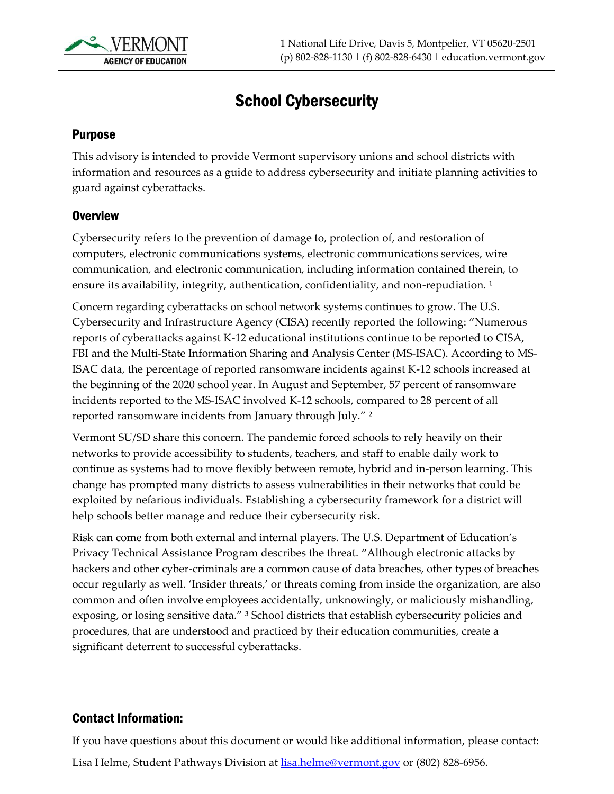

# School Cybersecurity

# Purpose

This advisory is intended to provide Vermont supervisory unions and school districts with information and resources as a guide to address cybersecurity and initiate planning activities to guard against cyberattacks.

#### **Overview**

Cybersecurity refers to the prevention of damage to, protection of, and restoration of computers, electronic communications systems, electronic communications services, wire communication, and electronic communication, including information contained therein, to ensure its availability, integrity, authentication, confidentiality, and non-repudiation.<sup>1</sup>

Concern regarding cyberattacks on school network systems continues to grow. The U.S. Cybersecurity and Infrastructure Agency (CISA) recently reported the following: "Numerous reports of cyberattacks against K-12 educational institutions continue to be reported to CISA, FBI and the Multi-State Information Sharing and Analysis Center (MS-ISAC). According to MS-ISAC data, the percentage of reported ransomware incidents against K-12 schools increased at the beginning of the 2020 school year. In August and September, 57 percent of ransomware incidents reported to the MS-ISAC involved K-12 schools, compared to 28 percent of all reported ransomware incidents from January through July." ²

Vermont SU/SD share this concern. The pandemic forced schools to rely heavily on their networks to provide accessibility to students, teachers, and staff to enable daily work to continue as systems had to move flexibly between remote, hybrid and in-person learning. This change has prompted many districts to assess vulnerabilities in their networks that could be exploited by nefarious individuals. Establishing a cybersecurity framework for a district will help schools better manage and reduce their cybersecurity risk.

Risk can come from both external and internal players. The U.S. Department of Education's Privacy Technical Assistance Program describes the threat. "Although electronic attacks by hackers and other cyber-criminals are a common cause of data breaches, other types of breaches occur regularly as well. 'Insider threats,' or threats coming from inside the organization, are also common and often involve employees accidentally, unknowingly, or maliciously mishandling, exposing, or losing sensitive data." <sup>3</sup> School districts that establish cybersecurity policies and procedures, that are understood and practiced by their education communities, create a significant deterrent to successful cyberattacks.

# Contact Information:

If you have questions about this document or would like additional information, please contact: Lisa Helme, Student Pathways Division at **lisa.helme@vermont.gov** or (802) 828-6956.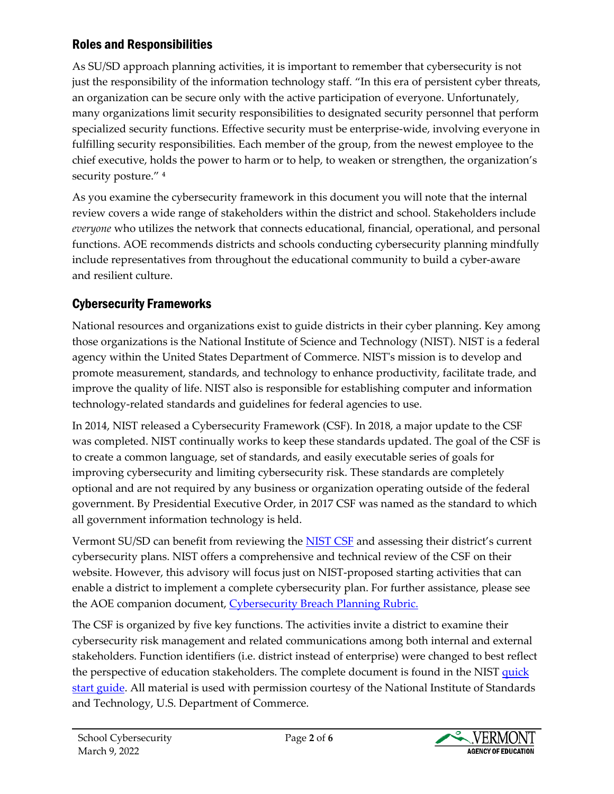# Roles and Responsibilities

As SU/SD approach planning activities, it is important to remember that cybersecurity is not just the responsibility of the information technology staff. "In this era of persistent cyber threats, an organization can be secure only with the active participation of everyone. Unfortunately, many organizations limit security responsibilities to designated security personnel that perform specialized security functions. Effective security must be enterprise-wide, involving everyone in fulfilling security responsibilities. Each member of the group, from the newest employee to the chief executive, holds the power to harm or to help, to weaken or strengthen, the organization's security posture." 4

As you examine the cybersecurity framework in this document you will note that the internal review covers a wide range of stakeholders within the district and school. Stakeholders include *everyone* who utilizes the network that connects educational, financial, operational, and personal functions. AOE recommends districts and schools conducting cybersecurity planning mindfully include representatives from throughout the educational community to build a cyber-aware and resilient culture.

# Cybersecurity Frameworks

National resources and organizations exist to guide districts in their cyber planning. Key among those organizations is the National Institute of Science and Technology (NIST). NIST is a federal agency within the United States Department of Commerce. NIST's mission is to develop and promote measurement, standards, and technology to enhance productivity, facilitate trade, and improve the quality of life. NIST also is responsible for establishing computer and information technology-related standards and guidelines for federal agencies to use.

In 2014, NIST released a Cybersecurity Framework (CSF). In 2018, a major update to the CSF was completed. NIST continually works to keep these standards updated. The goal of the CSF is to create a common language, set of standards, and easily executable series of goals for improving cybersecurity and limiting cybersecurity risk. These standards are completely optional and are not required by any business or organization operating outside of the federal government. By Presidential Executive Order, in 2017 CSF was named as the standard to which all government information technology is held.

Vermont SU/SD can benefit from reviewing the [NIST CSF](https://www.nist.gov/cyberframework) and assessing their district's current cybersecurity plans. NIST offers a comprehensive and technical review of the CSF on their website. However, this advisory will focus just on NIST-proposed starting activities that can enable a district to implement a complete cybersecurity plan. For further assistance, please see the AOE companion document, [Cybersecurity Breach Planning Rubric.](https://education.vermont.gov/documents/cybersecurity-breach-planning-rubric-2022)

The CSF is organized by five key functions. The activities invite a district to examine their cybersecurity risk management and related communications among both internal and external stakeholders. Function identifiers (i.e. district instead of enterprise) were changed to best reflect the perspective of education stakeholders. The complete document is found in the NIST [quick](https://csrc.nist.gov/Projects/cybersecurity-framework/nist-cybersecurity-framework-a-quick-start-guide) [start guide.](https://csrc.nist.gov/Projects/cybersecurity-framework/nist-cybersecurity-framework-a-quick-start-guide) All material is used with permission courtesy of the National Institute of Standards and Technology, U.S. Department of Commerce.

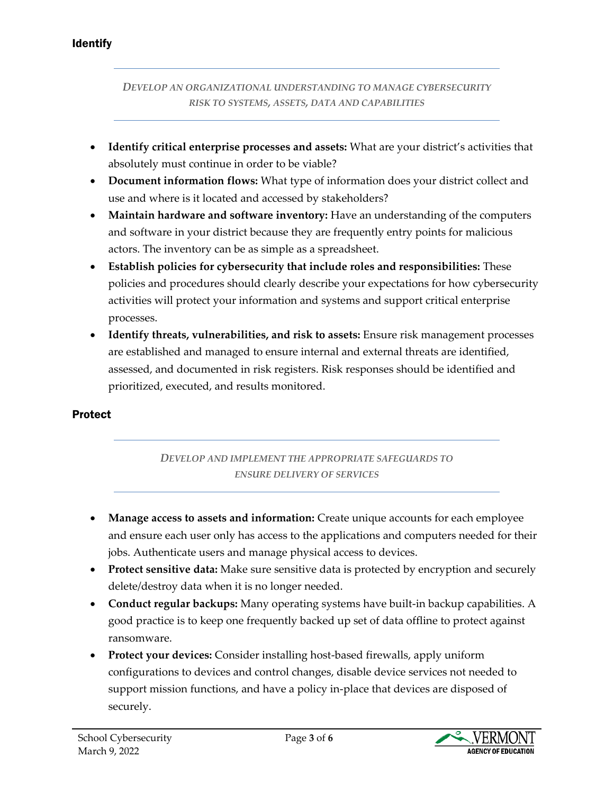#### Identify

*DEVELOP AN ORGANIZATIONAL UNDERSTANDING TO MANAGE CYBERSECURITY RISK TO SYSTEMS, ASSETS, DATA AND CAPABILITIES*

- **Identify critical enterprise processes and assets:** What are your district's activities that absolutely must continue in order to be viable?
- **Document information flows:** What type of information does your district collect and use and where is it located and accessed by stakeholders?
- **Maintain hardware and software inventory:** Have an understanding of the computers and software in your district because they are frequently entry points for malicious actors. The inventory can be as simple as a spreadsheet.
- **Establish policies for cybersecurity that include roles and responsibilities:** These policies and procedures should clearly describe your expectations for how cybersecurity activities will protect your information and systems and support critical enterprise processes.
- **Identify threats, vulnerabilities, and risk to assets:** Ensure risk management processes are established and managed to ensure internal and external threats are identified, assessed, and documented in risk registers. Risk responses should be identified and prioritized, executed, and results monitored.

# Protect

# *DEVELOP AND IMPLEMENT THE APPROPRIATE SAFEGUARDS TO ENSURE DELIVERY OF SERVICES*

- **Manage access to assets and information:** Create unique accounts for each employee and ensure each user only has access to the applications and computers needed for their jobs. Authenticate users and manage physical access to devices.
- **Protect sensitive data:** Make sure sensitive data is protected by encryption and securely delete/destroy data when it is no longer needed.
- **Conduct regular backups:** Many operating systems have built-in backup capabilities. A good practice is to keep one frequently backed up set of data offline to protect against ransomware.
- **Protect your devices:** Consider installing host-based firewalls, apply uniform configurations to devices and control changes, disable device services not needed to support mission functions, and have a policy in-place that devices are disposed of securely.

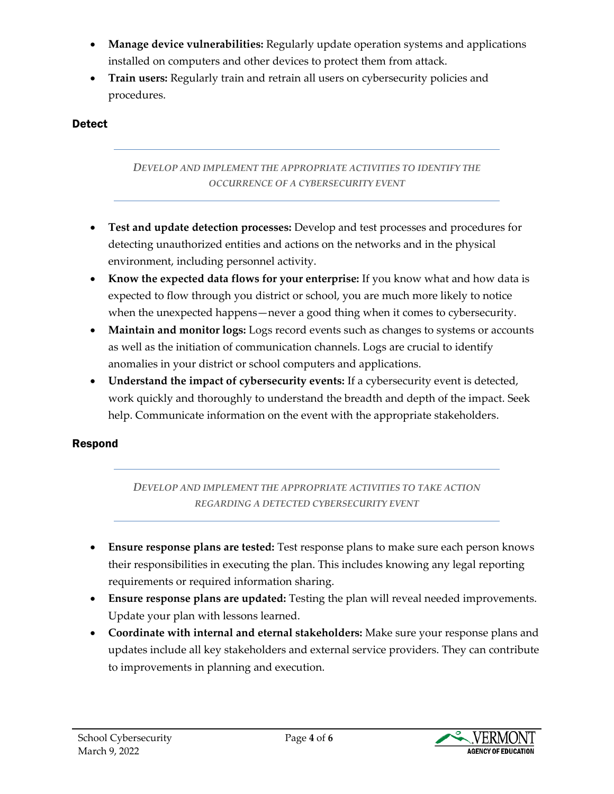- **Manage device vulnerabilities:** Regularly update operation systems and applications installed on computers and other devices to protect them from attack.
- **Train users:** Regularly train and retrain all users on cybersecurity policies and procedures.

# **Detect**

#### *DEVELOP AND IMPLEMENT THE APPROPRIATE ACTIVITIES TO IDENTIFY THE OCCURRENCE OF A CYBERSECURITY EVENT*

- **Test and update detection processes:** Develop and test processes and procedures for detecting unauthorized entities and actions on the networks and in the physical environment, including personnel activity.
- **Know the expected data flows for your enterprise:** If you know what and how data is expected to flow through you district or school, you are much more likely to notice when the unexpected happens—never a good thing when it comes to cybersecurity.
- **Maintain and monitor logs:** Logs record events such as changes to systems or accounts as well as the initiation of communication channels. Logs are crucial to identify anomalies in your district or school computers and applications.
- **Understand the impact of cybersecurity events:** If a cybersecurity event is detected, work quickly and thoroughly to understand the breadth and depth of the impact. Seek help. Communicate information on the event with the appropriate stakeholders.

# Respond

#### *DEVELOP AND IMPLEMENT THE APPROPRIATE ACTIVITIES TO TAKE ACTION REGARDING A DETECTED CYBERSECURITY EVENT*

- **Ensure response plans are tested:** Test response plans to make sure each person knows their responsibilities in executing the plan. This includes knowing any legal reporting requirements or required information sharing.
- **Ensure response plans are updated:** Testing the plan will reveal needed improvements. Update your plan with lessons learned.
- **Coordinate with internal and eternal stakeholders:** Make sure your response plans and updates include all key stakeholders and external service providers. They can contribute to improvements in planning and execution.

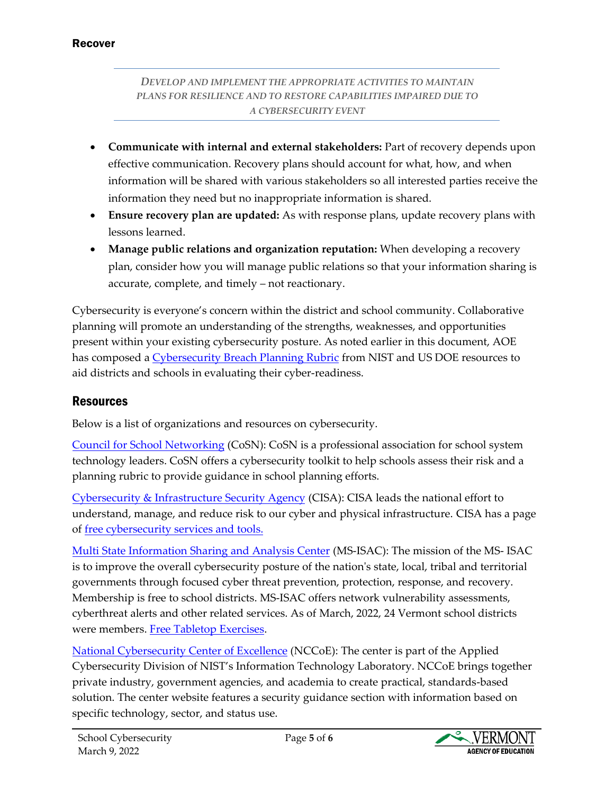#### Recover

#### *DEVELOP AND IMPLEMENT THE APPROPRIATE ACTIVITIES TO MAINTAIN PLANS FOR RESILIENCE AND TO RESTORE CAPABILITIES IMPAIRED DUE TO A CYBERSECURITY EVENT*

- **Communicate with internal and external stakeholders:** Part of recovery depends upon effective communication. Recovery plans should account for what, how, and when information will be shared with various stakeholders so all interested parties receive the information they need but no inappropriate information is shared.
- **Ensure recovery plan are updated:** As with response plans, update recovery plans with lessons learned.
- **Manage public relations and organization reputation:** When developing a recovery plan, consider how you will manage public relations so that your information sharing is accurate, complete, and timely – not reactionary.

Cybersecurity is everyone's concern within the district and school community. Collaborative planning will promote an understanding of the strengths, weaknesses, and opportunities present within your existing cybersecurity posture. As noted earlier in this document, AOE has composed [a Cybersecurity Breach Planning Rubric](https://education.vermont.gov/documents/cybersecurity-breach-planning-rubric-2022) from NIST and US DOE resources to aid districts and schools in evaluating their cyber-readiness.

# **Resources**

Below is a list of organizations and resources on cybersecurity.

[Council for School Networking](https://www.cosn.org/edtech-topics/cybersecurity/) (CoSN): CoSN is a professional association for school system technology leaders. CoSN offers a cybersecurity toolkit to help schools assess their risk and a planning rubric to provide guidance in school planning efforts.

[Cybersecurity & Infrastructure Security Agency](https://www.cisa.gov/) (CISA): CISA leads the national effort to understand, manage, and reduce risk to our cyber and physical infrastructure. CISA has a page of [free cybersecurity services and tools.](https://www.cisa.gov/free-cybersecurity-services-and-tools)

[Multi State Information Sharing and Analysis Center](https://www.cisecurity.org/ms-isac) (MS-ISAC): The mission of the MS- ISAC is to improve the overall cybersecurity posture of the nation's state, local, tribal and territorial governments through focused cyber threat prevention, protection, response, and recovery. Membership is free to school districts. MS-ISAC offers network vulnerability assessments, cyberthreat alerts and other related services. As of March, 2022, 24 Vermont school districts were members. [Free Tabletop Exercises.](https://www.cisecurity.org/ms-isac/tabletop-exercises-ttx)

[National Cybersecurity Center of Excellence](https://www.nccoe.nist.gov/) (NCCoE): The center is part of the Applied Cybersecurity Division of NIST's Information Technology Laboratory. NCCoE brings together private industry, government agencies, and academia to create practical, standards-based solution. The center website features a security guidance section with information based on specific technology, sector, and status use.